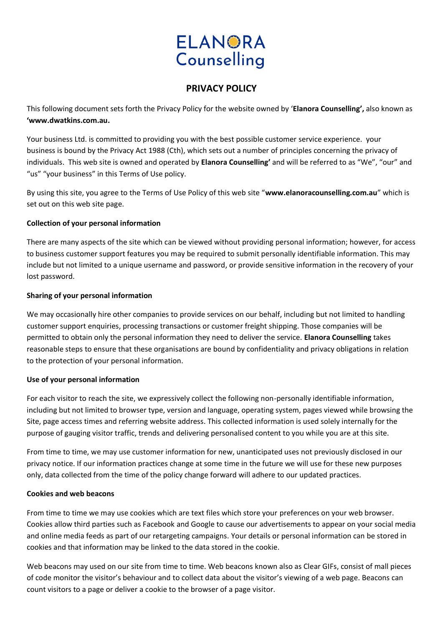# **ELANORA** Counselling

# **PRIVACY POLICY**

This following document sets forth the Privacy Policy for the website owned by '**Elanora Counselling',** also known as **'www.dwatkins.com.au.**

Your business Ltd. is committed to providing you with the best possible customer service experience. your business is bound by the Privacy Act 1988 (Cth), which sets out a number of principles concerning the privacy of individuals. This web site is owned and operated by **Elanora Counselling'** and will be referred to as "We", "our" and "us" "your business" in this Terms of Use policy.

By using this site, you agree to the Terms of Use Policy of this web site "**www.elanoracounselling.com.au**" which is set out on this web site page.

# **Collection of your personal information**

There are many aspects of the site which can be viewed without providing personal information; however, for access to business customer support features you may be required to submit personally identifiable information. This may include but not limited to a unique username and password, or provide sensitive information in the recovery of your lost password.

#### **Sharing of your personal information**

We may occasionally hire other companies to provide services on our behalf, including but not limited to handling customer support enquiries, processing transactions or customer freight shipping. Those companies will be permitted to obtain only the personal information they need to deliver the service. **Elanora Counselling** takes reasonable steps to ensure that these organisations are bound by confidentiality and privacy obligations in relation to the protection of your personal information.

# **Use of your personal information**

For each visitor to reach the site, we expressively collect the following non-personally identifiable information, including but not limited to browser type, version and language, operating system, pages viewed while browsing the Site, page access times and referring website address. This collected information is used solely internally for the purpose of gauging visitor traffic, trends and delivering personalised content to you while you are at this site.

From time to time, we may use customer information for new, unanticipated uses not previously disclosed in our privacy notice. If our information practices change at some time in the future we will use for these new purposes only, data collected from the time of the policy change forward will adhere to our updated practices.

# **Cookies and web beacons**

From time to time we may use cookies which are text files which store your preferences on your web browser. Cookies allow third parties such as Facebook and Google to cause our advertisements to appear on your social media and online media feeds as part of our retargeting campaigns. Your details or personal information can be stored in cookies and that information may be linked to the data stored in the cookie.

Web beacons may used on our site from time to time. Web beacons known also as Clear GIFs, consist of mall pieces of code monitor the visitor's behaviour and to collect data about the visitor's viewing of a web page. Beacons can count visitors to a page or deliver a cookie to the browser of a page visitor.